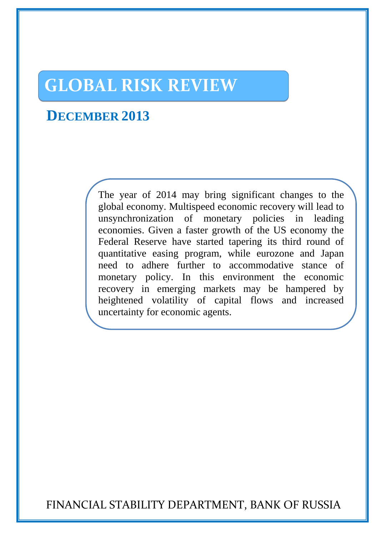# **GLOBAL RISK REVIEW**

# **DECEMBER 2013**

The year of 2014 may bring significant changes to the global economy. Multispeed economic recovery will lead to unsynchronization of monetary policies in leading economies. Given a faster growth of the US economy the Federal Reserve have started tapering its third round of quantitative easing program, while eurozone and Japan need to adhere further to accommodative stance of monetary policy. In this environment the economic recovery in emerging markets may be hampered by heightened volatility of capital flows and increased uncertainty for economic agents.

FINANCIAL STABILITY DEPARTMENT, BANK OF RUSSIA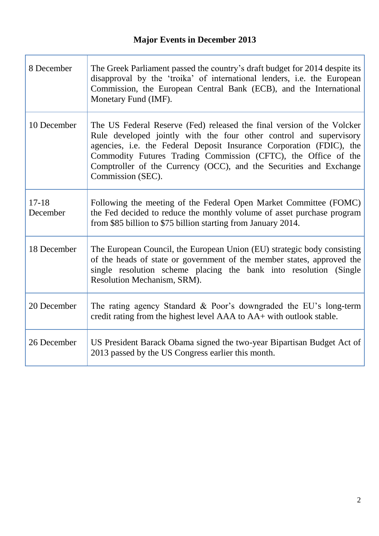Г

| 8 December            | The Greek Parliament passed the country's draft budget for 2014 despite its<br>disapproval by the 'troika' of international lenders, i.e. the European<br>Commission, the European Central Bank (ECB), and the International<br>Monetary Fund (IMF).                                                                                                                              |
|-----------------------|-----------------------------------------------------------------------------------------------------------------------------------------------------------------------------------------------------------------------------------------------------------------------------------------------------------------------------------------------------------------------------------|
| 10 December           | The US Federal Reserve (Fed) released the final version of the Volcker<br>Rule developed jointly with the four other control and supervisory<br>agencies, i.e. the Federal Deposit Insurance Corporation (FDIC), the<br>Commodity Futures Trading Commission (CFTC), the Office of the<br>Comptroller of the Currency (OCC), and the Securities and Exchange<br>Commission (SEC). |
| $17 - 18$<br>December | Following the meeting of the Federal Open Market Committee (FOMC)<br>the Fed decided to reduce the monthly volume of asset purchase program<br>from \$85 billion to \$75 billion starting from January 2014.                                                                                                                                                                      |
| 18 December           | The European Council, the European Union (EU) strategic body consisting<br>of the heads of state or government of the member states, approved the<br>single resolution scheme placing the bank into resolution (Single<br>Resolution Mechanism, SRM).                                                                                                                             |
| 20 December           | The rating agency Standard & Poor's downgraded the EU's long-term<br>credit rating from the highest level AAA to AA+ with outlook stable.                                                                                                                                                                                                                                         |
| 26 December           | US President Barack Obama signed the two-year Bipartisan Budget Act of<br>2013 passed by the US Congress earlier this month.                                                                                                                                                                                                                                                      |

Ĩ.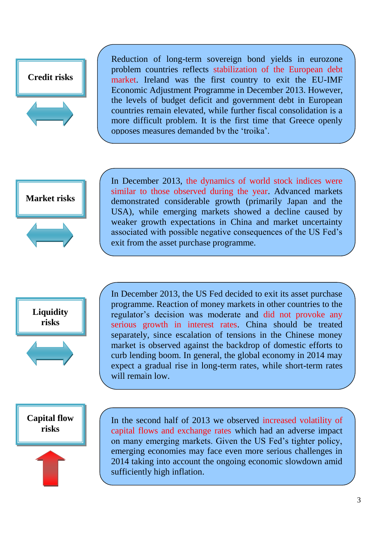

Reduction of long-term sovereign bond yields in eurozone problem countries reflects stabilization of the European debt market. Ireland was the first country to exit the EU-IMF Economic Adjustment Programme in December 2013. However, the levels of budget deficit and government debt in European countries remain elevated, while further fiscal consolidation is a more difficult problem. It is the first time that Greece openly opposes measures demanded by the 'troika'.





In December 2013, the dynamics of world stock indices were similar to those observed during the year. Advanced markets demonstrated considerable growth (primarily Japan and the USA), while emerging markets showed a decline caused by weaker growth expectations in China and market uncertainty associated with possible negative consequences of the US Fed's exit from the asset purchase programme.



In December 2013, the US Fed decided to exit its asset purchase programme. Reaction of money markets in other countries to the regulator's decision was moderate and did not provoke any serious growth in interest rates. China should be treated separately, since escalation of tensions in the Chinese money market is observed against the backdrop of domestic efforts to curb lending boom. In general, the global economy in 2014 may expect a gradual rise in long-term rates, while short-term rates will remain low.

 **Capital flow risks**



In the second half of 2013 we observed increased volatility of capital flows and exchange rates which had an adverse impact on many emerging markets. Given the US Fed's tighter policy, emerging economies may face even more serious challenges in 2014 taking into account the ongoing economic slowdown amid sufficiently high inflation.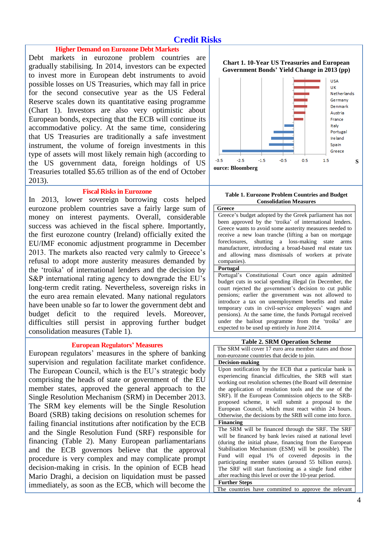# **Credit Risks**

#### **Higher Demand on Eurozone Debt Markets**

Debt markets in eurozone problem countries are gradually stabilising. In 2014, investors can be expected to invest more in European debt instruments to avoid possible losses on US Treasuries, which may fall in price for the second consecutive year as the US Federal Reserve scales down its quantitative easing programme (Chart 1). Investors are also very optimistic about European bonds, expecting that the ECB will continue its accommodative policy. At the same time, considering that US Treasuries are traditionally a safe investment instrument, the volume of foreign investments in this type of assets will most likely remain high (according to the US government data, foreign holdings of US Treasuries totalled \$5.65 trillion as of the end of October 2013).

#### **Fiscal Risks in Eurozone**

In 2013, lower sovereign borrowing costs helped eurozone problem countries save a fairly large sum of money on interest payments. Overall, considerable success was achieved in the fiscal sphere. Importantly, the first eurozone country (Ireland) officially exited the EU/IMF economic adjustment programme in December 2013. The markets also reacted very calmly to Greece's refusal to adopt more austerity measures demanded by the 'troika' of international lenders and the decision by S&P international rating agency to downgrade the EU's long-term credit rating. Nevertheless, sovereign risks in the euro area remain elevated. Many national regulators have been unable so far to lower the government debt and budget deficit to the required levels. Moreover, difficulties still persist in approving further budget consolidation measures (Table 1).

#### **European Regulators' Measures**

European regulators' measures in the sphere of banking supervision and regulation facilitate market confidence. The European Council, which is the EU's strategic body comprising the heads of state or government of the EU member states, approved the general approach to the Single Resolution Mechanism (SRM) in December 2013. The SRM key elements will be the Single Resolution Board (SRB) taking decisions on resolution schemes for failing financial institutions after notification by the ECB and the Single Resolution Fund (SRF) responsible for financing (Table 2). Many European parliamentarians and the ECB governors believe that the approval procedure is very complex and may complicate prompt decision-making in crisis. In the opinion of ECB head Mario Draghi, a decision on liquidation must be passed immediately, as soon as the ECB, which will become the





#### **Table 1. Eurozone Problem Countries and Budget Consolidation Measures**

**Greece**  Greece's budget adopted by the Greek parliament has not been approved by the 'troika' of international lenders. Greece wants to avoid some austerity measures needed to receive a new loan tranche (lifting a ban on mortgage foreclosures, shutting a loss-making state arms manufacturer, introducing a broad-based real estate tax and allowing mass dismissals of workers at private companies). **Portugal**

Portugal's Constitutional Court once again admitted budget cuts in social spending illegal (in December, the court rejected the government's decision to cut public pensions; earlier the government was not allowed to introduce a tax on unemployment benefits and make temporary cuts in civil-service employees' wages and pensions). At the same time, the funds Portugal received under the bailout programme from the 'troika' are expected to be used up entirely in June 2014.

#### **Table 2. SRM Operation Scheme**

The SRM will cover 17 euro area member states and those non-eurozone countries that decide to join.

**Decision-making** Upon notification by the ECB that a particular bank is experiencing financial difficulties, the SRB will start working out resolution schemes (the Board will determine the application of resolution tools and the use of the SRF). If the European Commission objects to the SRBproposed scheme, it will submit a proposal to the European Council, which must react within 24 hours. Otherwise, the decisions by the SRB will come into force. **Financing**  The SRM will be financed through the SRF. The SRF will be financed by bank levies raised at national level (during the initial phase, financing from the European

Stabilisation Mechanism (ESM) will be possible). The Fund will equal 1% of covered deposits in the participating member states (around 55 billion euros). The SRF will start functioning as a single fund either after reaching this level or over the 10-year period. **Further Steps** The countries have committed to approve the relevant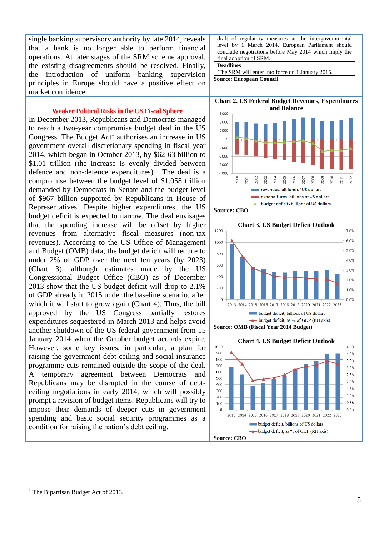single banking supervisory authority by late 2014, reveals that a bank is no longer able to perform financial operations. At later stages of the SRM scheme approval, the existing disagreements should be resolved. Finally, the introduction of uniform banking supervision principles in Europe should have a positive effect on market confidence.

#### **Weaker Political Risks in the US Fiscal Sphere**

In December 2013, Republicans and Democrats managed to reach a two-year compromise budget deal in the US Congress. The Budget  $Act<sup>1</sup>$  authorises an increase in US government overall discretionary spending in fiscal year 2014, which began in October 2013, by \$62-63 billion to \$1.01 trillion (the increase is evenly divided between defence and non-defence expenditures). The deal is a compromise between the budget level of \$1.058 trillion demanded by Democrats in Senate and the budget level of \$967 billion supported by Republicans in House of Representatives. Despite higher expenditures, the US budget deficit is expected to narrow. The deal envisages that the spending increase will be offset by higher revenues from alternative fiscal measures (non-tax revenues). According to the US Office of Management and Budget (OMB) data, the budget deficit will reduce to under 2% of GDP over the next ten years (by 2023) (Chart 3), although estimates made by the US Congressional Budget Office (CBO) as of December 2013 show that the US budget deficit will drop to 2.1% of GDP already in 2015 under the baseline scenario, after which it will start to grow again (Chart 4). Thus, the bill approved by the US Congress partially restores expenditures sequestered in March 2013 and helps avoid another shutdown of the US federal government from 15 January 2014 when the October budget accords expire. However, some key issues, in particular, a plan for raising the government debt ceiling and social insurance programme cuts remained outside the scope of the deal. A temporary agreement between Democrats and Republicans may be disrupted in the course of debtceiling negotiations in early 2014, which will possibly prompt a revision of budget items. Republicans will try to impose their demands of deeper cuts in government spending and basic social security programmes as a condition for raising the nation's debt ceiling.

draft of regulatory measures at the intergovernmental level by 1 March 2014. European Parliament should conclude negotiations before May 2014 which imply the final adoption of SRM.

**Deadlines** 

The SRM will enter into force on 1 January 2015. **Source: European Council** 

**Chart 2. US Federal Budget Revenues, Expenditures and Balance**





**Chart 3. US Budget Deficit Outlook** 





 $\overline{a}$ 

The Bipartisan Budget Act of 2013.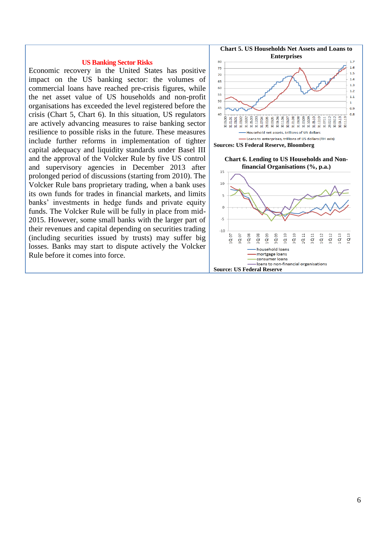#### **US Banking Sector Risks**

Economic recovery in the United States has positive impact on the US banking sector: the volumes of commercial loans have reached pre-crisis figures, while the net asset value of US households and non-profit organisations has exceeded the level registered before the crisis (Chart 5, Chart 6). In this situation, US regulators are actively advancing measures to raise banking sector resilience to possible risks in the future. These measures include further reforms in implementation of tighter capital adequacy and liquidity standards under Basel III and the approval of the Volcker Rule by five US control and supervisory agencies in December 2013 after prolonged period of discussions (starting from 2010). The Volcker Rule bans proprietary trading, when a bank uses its own funds for trades in financial markets, and limits banks' investments in hedge funds and private equity funds. The Volcker Rule will be fully in place from mid-2015. However, some small banks with the larger part of their revenues and capital depending on securities trading (including securities issued by trusts) may suffer big losses. Banks may start to dispute actively the Volcker Rule before it comes into force.



**Chart 6. Lending to US Households and Nonfinancial Organisations (%, p.a.)**

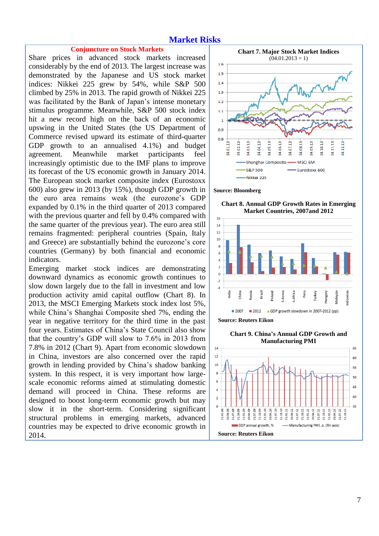### **Market Risks**

#### **Conjuncture on Stock Markets**

Share prices in advanced stock markets increased considerably by the end of 2013. The largest increase was demonstrated by the Japanese and US stock market indices: Nikkei 225 grew by 54%, while S&P 500 climbed by 25% in 2013. The rapid growth of Nikkei 225 was facilitated by the Bank of Japan's intense monetary stimulus programme. Meanwhile, S&P 500 stock index hit a new record high on the back of an economic upswing in the United States (the US Department of Commerce revised upward its estimate of third-quarter GDP growth to an annualised 4.1%) and budget agreement. Meanwhile market participants feel increasingly optimistic due to the IMF plans to improve its forecast of the US economic growth in January 2014. The European stock market composite index (Eurostoxx 600) also grew in 2013 (by 15%), though GDP growth in the euro area remains weak (the eurozone's GDP expanded by 0.1% in the third quarter of 2013 compared with the previous quarter and fell by 0.4% compared with the same quarter of the previous year). The euro area still remains fragmented: peripheral countries (Spain, Italy and Greece) are substantially behind the eurozone's core countries (Germany) by both financial and economic indicators.

Emerging market stock indices are demonstrating downward dynamics as economic growth continues to slow down largely due to the fall in investment and low production activity amid capital outflow (Chart 8). In 2013, the MSCI Emerging Markets stock index lost 5%, while China's Shanghai Composite shed 7%, ending the year in negative territory for the third time in the past four years. Estimates of China's State Council also show that the country's GDP will slow to 7.6% in 2013 from 7.8% in 2012 (Chart 9). Apart from economic slowdown in China, investors are also concerned over the rapid growth in lending provided by China's shadow banking system. In this respect, it is very important how largescale economic reforms aimed at stimulating domestic demand will proceed in China. These reforms are designed to boost long-term economic growth but may slow it in the short-term. Considering significant structural problems in emerging markets, advanced countries may be expected to drive economic growth in 2014.



**Source: Bloomberg**

**Chart 8. Annual GDP Growth Rates in Emerging Market Countries, 2007and 2012**



**Source: Reuters Eikon**

**Chart 9. China's Annual GDP Growth and Manufacturing PMI** 

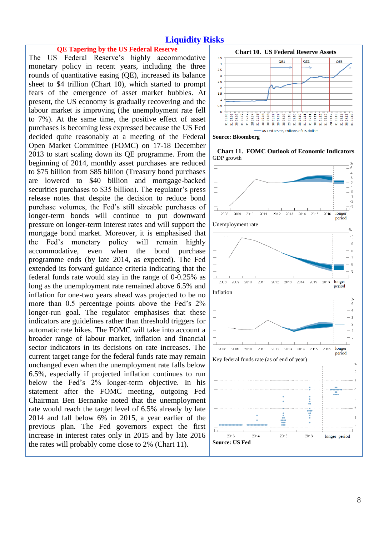## **Liquidity Risks**

#### **QE Tapering by the US Federal Reserve**

The US Federal Reserve's highly accommodative monetary policy in recent years, including the three rounds of quantitative easing (QE), increased its balance sheet to \$4 trillion (Chart 10), which started to prompt fears of the emergence of asset market bubbles. At present, the US economy is gradually recovering and the labour market is improving (the unemployment rate fell to 7%). At the same time, the positive effect of asset purchases is becoming less expressed because the US Fed decided quite reasonably at a meeting of the Federal Open Market Committee (FOMC) on 17-18 December 2013 to start scaling down its QE programme. From the beginning of 2014, monthly asset purchases are reduced to \$75 billion from \$85 billion (Treasury bond purchases are lowered to \$40 billion and mortgage-backed securities purchases to \$35 billion). The regulator's press release notes that despite the decision to reduce bond purchase volumes, the Fed's still sizeable purchases of longer-term bonds will continue to put downward pressure on longer-term interest rates and will support the mortgage bond market. Moreover, it is emphasised that the Fed's monetary policy will remain highly accommodative, even when the bond purchase programme ends (by late 2014, as expected). The Fed extended its forward guidance criteria indicating that the federal funds rate would stay in the range of 0-0.25% as long as the unemployment rate remained above 6.5% and inflation for one-two years ahead was projected to be no more than 0.5 percentage points above the Fed's 2% longer-run goal. The regulator emphasises that these indicators are guidelines rather than threshold triggers for automatic rate hikes. The FOMC will take into account a broader range of labour market, inflation and financial sector indicators in its decisions on rate increases. The current target range for the federal funds rate may remain unchanged even when the unemployment rate falls below 6.5%, especially if projected inflation continues to run below the Fed's 2% longer-term objective. In his statement after the FOMC meeting, outgoing Fed Chairman Ben Bernanke noted that the unemployment rate would reach the target level of 6.5% already by late 2014 and fall below 6% in 2015, a year earlier of the previous plan. The Fed governors expect the first increase in interest rates only in 2015 and by late 2016 the rates will probably come close to 2% (Chart 11).



**Source: Bloomberg**



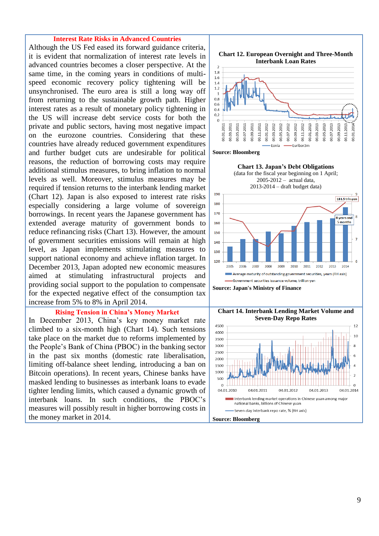#### **Interest Rate Risks in Advanced Countries**

Although the US Fed eased its forward guidance criteria, it is evident that normalization of interest rate levels in advanced countries becomes a closer perspective. At the same time, in the coming years in conditions of multispeed economic recovery policy tightening will be unsynchronised. The euro area is still a long way off from returning to the sustainable growth path. Higher interest rates as a result of monetary policy tightening in the US will increase debt service costs for both the private and public sectors, having most negative impact on the eurozone countries. Considering that these countries have already reduced government expenditures and further budget cuts are undesirable for political reasons, the reduction of borrowing costs may require additional stimulus measures, to bring inflation to normal levels as well. Moreover, stimulus measures may be required if tension returns to the interbank lending market (Chart 12). Japan is also exposed to interest rate risks especially considering a large volume of sovereign borrowings. In recent years the Japanese government has extended average maturity of government bonds to reduce refinancing risks (Chart 13). However, the amount of government securities emissions will remain at high level, as Japan implements stimulating measures to support national economy and achieve inflation target. In December 2013, Japan adopted new economic measures aimed at stimulating infrastructural projects and providing social support to the population to compensate for the expected negative effect of the consumption tax increase from 5% to 8% in April 2014.

#### **Rising Tension in China's Money Market**

In December 2013, China's key money market rate climbed to a six-month high (Chart 14). Such tensions take place on the market due to reforms implemented by the People's Bank of China (PBOC) in the banking sector in the past six months (domestic rate liberalisation, limiting off-balance sheet lending, introducing a ban on Bitcoin operations). In recent years, Chinese banks have masked lending to businesses as interbank loans to evade tighter lending limits, which caused a dynamic growth of interbank loans. In such conditions, the PBOC's measures will possibly result in higher borrowing costs in the money market in 2014.



#### **Source: Bloomberg**



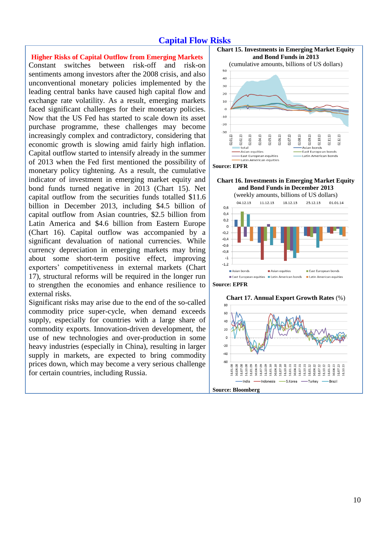# **Capital Flow Risks**

**Higher Risks of Capital Outflow from Emerging Markets**  Constant switches between risk-off and risk-on sentiments among investors after the 2008 crisis, and also unconventional monetary policies implemented by the leading central banks have caused high capital flow and exchange rate volatility. As a result, emerging markets faced significant challenges for their monetary policies. Now that the US Fed has started to scale down its asset purchase programme, these challenges may become increasingly complex and contradictory, considering that economic growth is slowing amid fairly high inflation. Capital outflow started to intensify already in the summer of 2013 when the Fed first mentioned the possibility of monetary policy tightening. As a result, the cumulative indicator of investment in emerging market equity and bond funds turned negative in 2013 (Chart 15). Net capital outflow from the securities funds totalled \$11.6 billion in December 2013, including \$4.5 billion of capital outflow from Asian countries, \$2.5 billion from Latin America and \$4.6 billion from Eastern Europe (Chart 16). Capital outflow was accompanied by a significant devaluation of national currencies. While currency depreciation in emerging markets may bring about some short-term positive effect, improving exporters' competitiveness in external markets (Chart 17), structural reforms will be required in the longer run to strengthen the economies and enhance resilience to external risks.

Significant risks may arise due to the end of the so-called commodity price super-cycle, when demand exceeds supply, especially for countries with a large share of commodity exports. Innovation-driven development, the use of new technologies and over-production in some heavy industries (especially in China), resulting in larger supply in markets, are expected to bring commodity prices down, which may become a very serious challenge for certain countries, including Russia.



**Chart 16. Investments in Emerging Market Equity and Bond Funds in December 2013** 



**Source: EPFR**